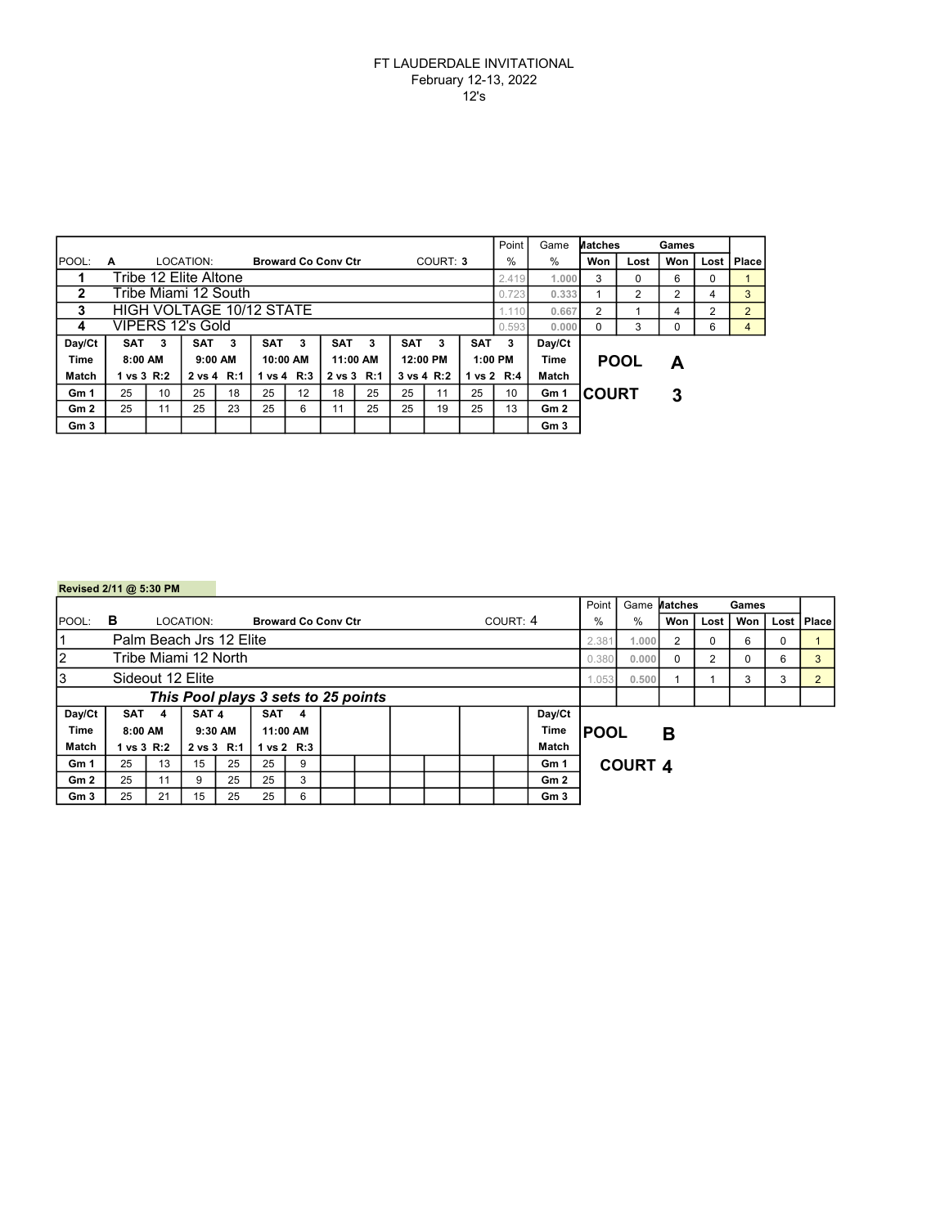## FT LAUDERDALE INVITATIONAL February 12-13, 2022 12's

|                 |                          |    |                       |    |                            |    |                   |            |            |            |            | Point      | Game            | Matches      |      | Games |      |                |
|-----------------|--------------------------|----|-----------------------|----|----------------------------|----|-------------------|------------|------------|------------|------------|------------|-----------------|--------------|------|-------|------|----------------|
| <b>IPOOL:</b>   | A                        |    | LOCATION:             |    | <b>Broward Co Conv Ctr</b> |    |                   |            |            | COURT: 3   |            | %          | $\%$            | Won          | Lost | Won   | Lost | Place          |
|                 |                          |    | Tribe 12 Elite Altone |    |                            |    |                   |            |            |            |            | 2.419      | 1.000           | 3            | 0    | 6     | 0    |                |
| 2               | Tribe Miami 12 South     |    |                       |    |                            |    |                   |            |            |            | 0.723      | 0.333      |                 | 2            | 2    | 4     | 3    |                |
| 3               | HIGH VOLTAGE 10/12 STATE |    |                       |    |                            |    |                   |            |            |            |            |            | 0.667           | 2            |      | 4     | 2    | $\overline{2}$ |
| 4               | VIPERS 12's Gold         |    |                       |    |                            |    |                   |            |            |            |            | 0.593      | 0.000           | $\Omega$     | 3    | 0     | 6    | 4              |
| Day/Ct          | <b>SAT</b>               | 3  | <b>SAT</b>            | 3  | <b>SAT</b>                 | 3  | <b>SAT</b>        | 3          | <b>SAT</b> | 3          | <b>SAT</b> | 3          | Day/Ct          |              |      |       |      |                |
| <b>Time</b>     | 8:00 AM                  |    | $9:00$ AM             |    | 10:00 AM                   |    |                   | 11:00 AM   |            | 12:00 PM   |            | $1:00$ PM  | Time            | <b>POOL</b>  |      | А     |      |                |
| Match           | 1 vs 3 R:2               |    | 2 vs 4 R:1            |    | 1 vs 4 R:3                 |    | $2 \text{ vs } 3$ | <b>R:1</b> |            | 3 vs 4 R:2 |            | 1 vs 2 R:4 | Match           |              |      |       |      |                |
| Gm 1            | 25                       | 10 | 25                    | 18 | 25                         | 12 | 18                | 25         | 25         | 11         | 25         | 10         | Gm 1            | <b>COURT</b> |      | 3     |      |                |
| Gm2             | 25                       | 11 | 25                    | 23 | 25                         | 6  | 11                | 25         | 25         | 19         | 25         | 13         | Gm 2            |              |      |       |      |                |
| Gm <sub>3</sub> |                          |    |                       |    |                            |    |                   |            |            |            |            |            | Gm <sub>3</sub> |              |      |       |      |                |

|                               | Revised 2/11 @ 5:30 PM              |    |            |         |            |                            |  |  |  |  |             |          |       |                   |         |          |       |   |                |   |  |
|-------------------------------|-------------------------------------|----|------------|---------|------------|----------------------------|--|--|--|--|-------------|----------|-------|-------------------|---------|----------|-------|---|----------------|---|--|
|                               |                                     |    |            |         |            |                            |  |  |  |  |             |          | Point | Game              | Matches |          | Games |   |                |   |  |
| <b>POOL:</b>                  | в                                   |    | LOCATION:  |         |            | <b>Broward Co Conv Ctr</b> |  |  |  |  |             | COURT: 4 | %     | %                 | Won     | Lost     | Won   |   | Lost   Place   |   |  |
| Palm Beach Jrs 12 Elite<br>11 |                                     |    |            |         |            |                            |  |  |  |  |             |          | 2.381 | 1.000             | 2       | 0        | 6     | 0 |                |   |  |
| 2<br>Tribe Miami 12 North     |                                     |    |            |         |            |                            |  |  |  |  |             |          |       | 0.380             | 0.000   | $\Omega$ | 2     | 0 | 6              | 3 |  |
| Iз<br>Sideout 12 Elite        |                                     |    |            |         |            |                            |  |  |  |  |             |          | 1.053 | 0.500             |         |          | 3     | 3 | $\overline{2}$ |   |  |
|                               | This Pool plays 3 sets to 25 points |    |            |         |            |                            |  |  |  |  |             |          |       |                   |         |          |       |   |                |   |  |
| Day/Ct                        | SAT <sub>4</sub>                    |    | SAT 4      |         | <b>SAT</b> | -4                         |  |  |  |  |             | Day/Ct   |       |                   |         |          |       |   |                |   |  |
| <b>Time</b>                   | 8:00 AM                             |    |            | 9:30 AM |            | 11:00 AM                   |  |  |  |  | <b>Time</b> |          |       | <b>IPOOL</b><br>в |         |          |       |   |                |   |  |
| Match                         | 1 vs 3 R:2                          |    | 2 vs 3 R:1 |         |            | 1 vs 2 R:3                 |  |  |  |  |             |          | Match |                   |         |          |       |   |                |   |  |
| Gm 1                          | 25                                  | 13 | 15         | 25      | 25         | 9                          |  |  |  |  |             |          | Gm 1  | <b>COURT 4</b>    |         |          |       |   |                |   |  |
| Gm2                           | 25                                  | 11 | 9          | 25      | 25         | 3                          |  |  |  |  |             |          | Gm2   |                   |         |          |       |   |                |   |  |
| Gm3                           | 25                                  | 21 | 15         | 25      | 25         | 6                          |  |  |  |  |             |          | Gm3   |                   |         |          |       |   |                |   |  |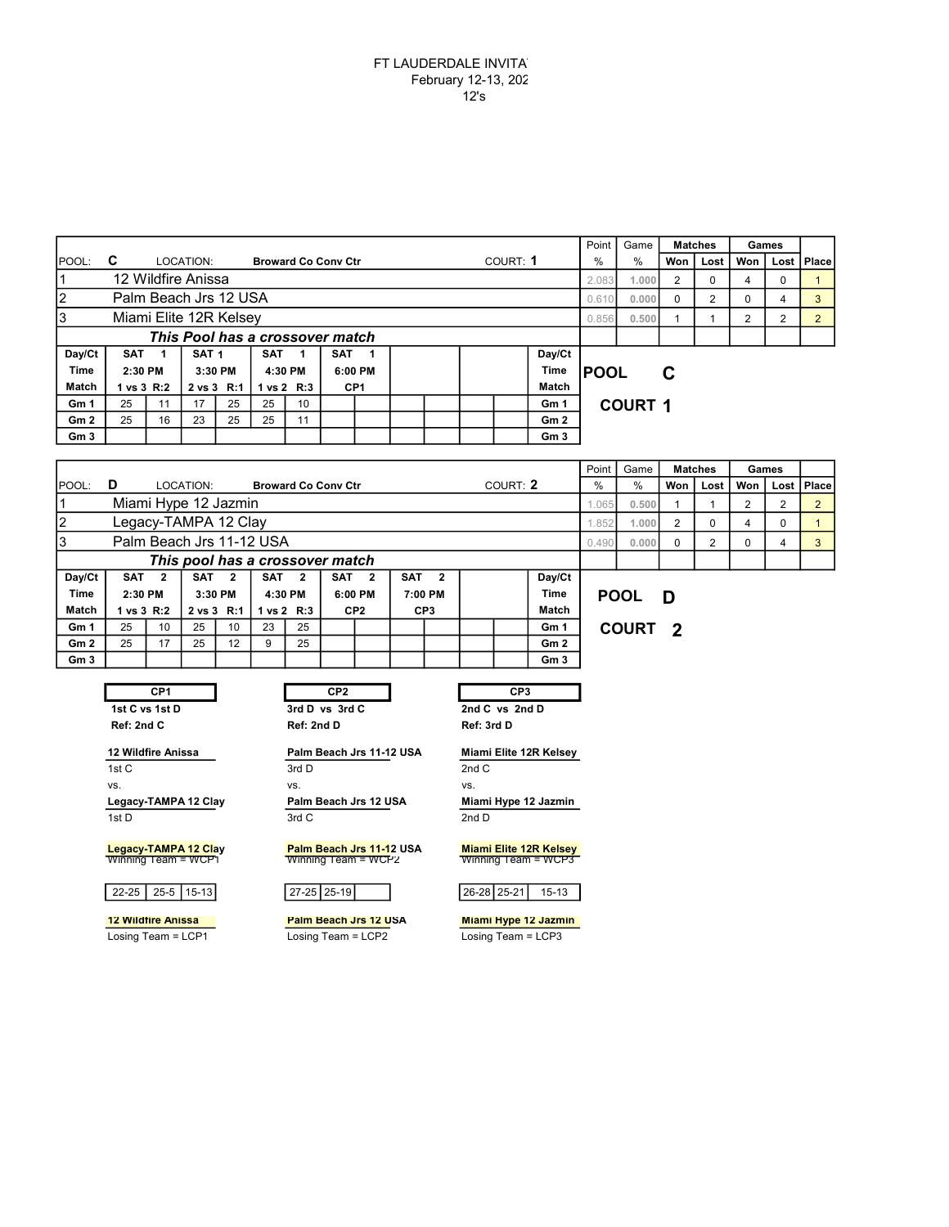|                              |                                 |    |                  |         |                    |            |                            |              |  |  |             | Point | Game            |                | <b>Matches</b>    | Games |                |              |                |  |  |  |
|------------------------------|---------------------------------|----|------------------|---------|--------------------|------------|----------------------------|--------------|--|--|-------------|-------|-----------------|----------------|-------------------|-------|----------------|--------------|----------------|--|--|--|
| <b>IPOOL:</b>                | C                               |    | LOCATION:        |         |                    |            | <b>Broward Co Conv Ctr</b> |              |  |  | COURT: 1    | $\%$  | $\%$            | Won            | Lost              | Won   |                | Lost   Place |                |  |  |  |
| 12 Wildfire Anissa           |                                 |    |                  |         |                    |            |                            |              |  |  |             | 2.083 | 1.000           | 2              | 0                 | 4     | 0              |              |                |  |  |  |
| l2<br>Palm Beach Jrs 12 USA  |                                 |    |                  |         |                    |            |                            |              |  |  |             |       | 0.610           | 0.000          | 0                 | 2     | 0              | 4            | 3              |  |  |  |
| IЗ<br>Miami Elite 12R Kelsey |                                 |    |                  |         |                    |            |                            |              |  |  |             |       | 0.856           | 0.500          |                   |       | $\overline{2}$ | 2            | $\overline{2}$ |  |  |  |
|                              | This Pool has a crossover match |    |                  |         |                    |            |                            |              |  |  |             |       |                 |                |                   |       |                |              |                |  |  |  |
| Day/Ct                       | SAT                             |    | SAT <sub>1</sub> |         | <b>SAT</b>         |            | <b>SAT</b>                 | $\mathbf{1}$ |  |  |             |       | Day/Ct          |                |                   |       |                |              |                |  |  |  |
| <b>Time</b>                  | 2:30 PM                         |    |                  | 3:30 PM | 6:00 PM<br>4:30 PM |            |                            |              |  |  | <b>Time</b> |       |                 |                | <b>IPOOL</b><br>C |       |                |              |                |  |  |  |
| Match                        | 1 vs 3 R:2                      |    | 2 vs 3 R:1       |         |                    | 1 vs 2 R:3 | CP <sub>1</sub>            |              |  |  |             |       | Match           |                |                   |       |                |              |                |  |  |  |
| Gm 1                         | 25                              | 11 | 17               | 25      | 25                 | 10         |                            |              |  |  |             |       | Gm 1            | <b>COURT 1</b> |                   |       |                |              |                |  |  |  |
| Gm <sub>2</sub>              | 25                              | 16 | 23               | 25      | 25                 | 11         |                            |              |  |  |             |       | Gm <sub>2</sub> |                |                   |       |                |              |                |  |  |  |
| Gm <sub>3</sub>              |                                 |    |                  |         |                    |            |                            |              |  |  |             |       | Gm <sub>3</sub> |                |                   |       |                |              |                |  |  |  |

|                          |                                 |                  |                  |            |    |                            |                  |         |                 |                         |  |          |                 | Point | Game         |                         | <b>Matches</b> | Games |   |              |  |  |
|--------------------------|---------------------------------|------------------|------------------|------------|----|----------------------------|------------------|---------|-----------------|-------------------------|--|----------|-----------------|-------|--------------|-------------------------|----------------|-------|---|--------------|--|--|
| IPOOL:                   | D                               |                  | LOCATION:        |            |    | <b>Broward Co Conv Ctr</b> |                  |         |                 |                         |  | COURT: 2 |                 |       | %            | Won                     | Lost           | Won   |   | Lost   Place |  |  |
| Miami Hype 12 Jazmin     |                                 |                  |                  |            |    |                            |                  |         |                 |                         |  | 1.065    | 0.500           |       |              |                         | 2              |       |   |              |  |  |
| Legacy-TAMPA 12 Clay     |                                 |                  |                  |            |    |                            |                  |         |                 |                         |  | 1.852    | 1.000           | 2     | $\Omega$     | 4                       | 0              |       |   |              |  |  |
| Palm Beach Jrs 11-12 USA |                                 |                  |                  |            |    |                            |                  |         |                 |                         |  |          | 0.490           | 0.000 | 0            | 2                       | $\Omega$       | 4     | 3 |              |  |  |
|                          | This pool has a crossover match |                  |                  |            |    |                            |                  |         |                 |                         |  |          |                 |       |              |                         |                |       |   |              |  |  |
| Day/Ct                   |                                 | SAT <sub>2</sub> | SAT <sub>2</sub> |            |    | SAT <sub>2</sub>           | SAT <sub>2</sub> |         | <b>SAT</b>      | $\overline{\mathbf{2}}$ |  |          | Day/Ct          |       |              |                         |                |       |   |              |  |  |
| <b>Time</b>              | 2:30 PM                         |                  |                  | 3:30 PM    |    | 4:30 PM                    |                  | 6:00 PM |                 | 7:00 PM                 |  |          | <b>Time</b>     |       | <b>POOL</b>  | D                       |                |       |   |              |  |  |
| Match                    |                                 | l vs 3 R:2       |                  | 2 vs 3 R:1 |    | 1 vs 2 R:3                 | CP <sub>2</sub>  |         | CP <sub>3</sub> |                         |  |          | Match           |       |              |                         |                |       |   |              |  |  |
| Gm 1                     | 25                              | 10               | 25               | 10         | 23 | 25                         |                  |         |                 |                         |  |          | Gm 1            |       | <b>COURT</b> | $\overline{\mathbf{2}}$ |                |       |   |              |  |  |
| Gm2                      | 25                              | 17               | 25               | 12         | 9  | 25                         |                  |         |                 |                         |  |          | Gm <sub>2</sub> |       |              |                         |                |       |   |              |  |  |
| Gm <sub>3</sub>          |                                 |                  |                  |            |    |                            |                  |         |                 |                         |  |          | Gm <sub>3</sub> |       |              |                         |                |       |   |              |  |  |

1st C vs 1st D 3rd D vs 3rd C 2nd C vs 2nd D

12 Wildfire Anissa **Palm Beach Jrs 11-12 USA** Miami Elite 12R Kelsey

Legacy-TAMPA 12 Clay Palm Beach Jrs 12 USA Miami Hype 12 Jazmin 1st D 3rd C 3rd C 2nd D

<mark>Legacy-TAMPA 12 Cla</mark>y <mark>Palm Beach Jrs 11-1</mark>2 USA <mark>Miami Elite 12R Kelsey</mark><br>Winning Team = WCP1 Winning Team = WCP2 Winning Team = WCP3

22-25 25-5 15-13 27-25 25-19 26-28 25-21 15-13

CP1 CP2 CP2 CP3

Ref: 2nd C Ref: 2nd D Ref: 3rd D

1st C 2nd C vs. vs. vs.

Losing Team = LCP1 Losing Team = LCP2 Losing Team = LCP3



12 Wildfire Anissa **Palm Beach Jrs 12 USA** Miami Hype 12 Jazmin